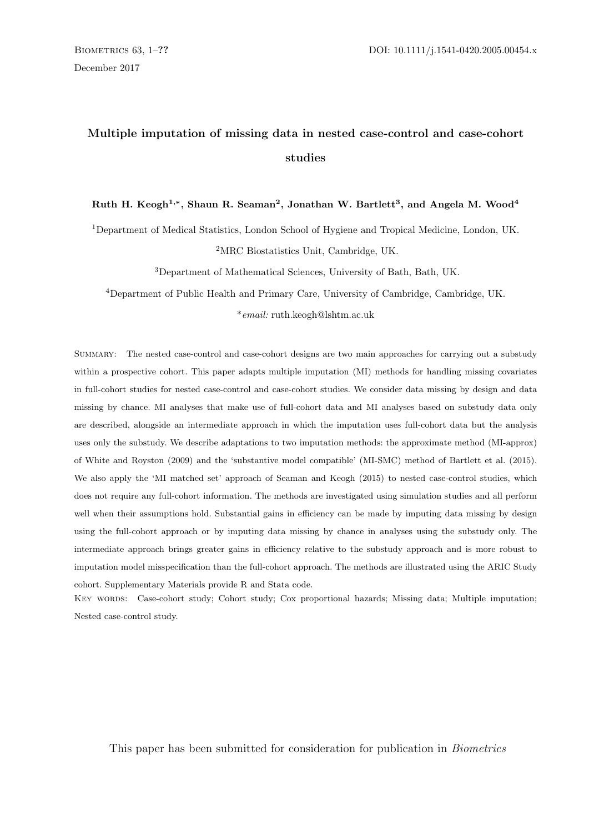# Multiple imputation of missing data in nested case-control and case-cohort studies

## Ruth H. Keogh $^{1,*},$  Shaun R. Seaman $^2,$  Jonathan W. Bartlett $^3,$  and Angela M. Wood $^4$

<sup>1</sup>Department of Medical Statistics, London School of Hygiene and Tropical Medicine, London, UK. <sup>2</sup>MRC Biostatistics Unit, Cambridge, UK.

<sup>3</sup>Department of Mathematical Sciences, University of Bath, Bath, UK.

<sup>4</sup>Department of Public Health and Primary Care, University of Cambridge, Cambridge, UK.

\*email: ruth.keogh@lshtm.ac.uk

Summary: The nested case-control and case-cohort designs are two main approaches for carrying out a substudy within a prospective cohort. This paper adapts multiple imputation (MI) methods for handling missing covariates in full-cohort studies for nested case-control and case-cohort studies. We consider data missing by design and data missing by chance. MI analyses that make use of full-cohort data and MI analyses based on substudy data only are described, alongside an intermediate approach in which the imputation uses full-cohort data but the analysis uses only the substudy. We describe adaptations to two imputation methods: the approximate method (MI-approx) of White and Royston (2009) and the 'substantive model compatible' (MI-SMC) method of Bartlett et al. (2015). We also apply the 'MI matched set' approach of Seaman and Keogh (2015) to nested case-control studies, which does not require any full-cohort information. The methods are investigated using simulation studies and all perform well when their assumptions hold. Substantial gains in efficiency can be made by imputing data missing by design using the full-cohort approach or by imputing data missing by chance in analyses using the substudy only. The intermediate approach brings greater gains in efficiency relative to the substudy approach and is more robust to imputation model misspecification than the full-cohort approach. The methods are illustrated using the ARIC Study cohort. Supplementary Materials provide R and Stata code.

KEY WORDS: Case-cohort study; Cohort study; Cox proportional hazards; Missing data; Multiple imputation; Nested case-control study.

This paper has been submitted for consideration for publication in Biometrics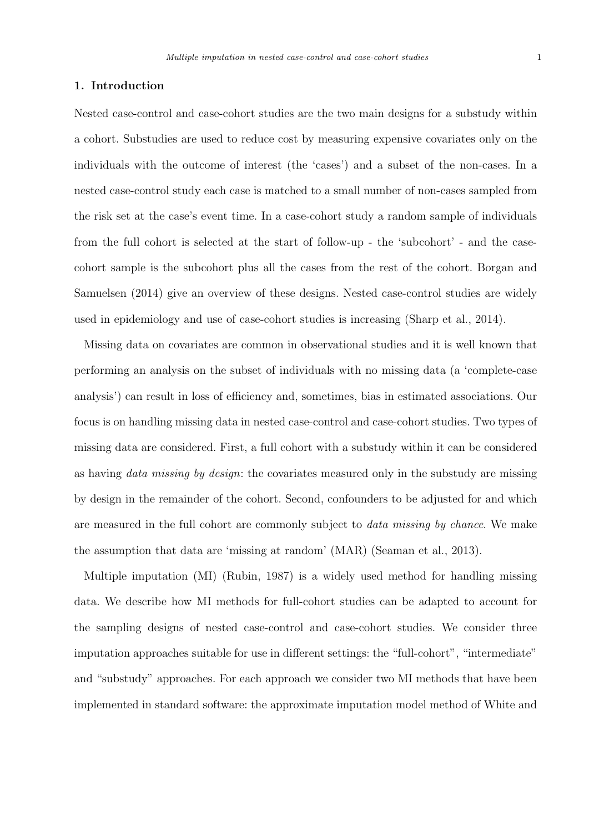## 1. Introduction

Nested case-control and case-cohort studies are the two main designs for a substudy within a cohort. Substudies are used to reduce cost by measuring expensive covariates only on the individuals with the outcome of interest (the 'cases') and a subset of the non-cases. In a nested case-control study each case is matched to a small number of non-cases sampled from the risk set at the case's event time. In a case-cohort study a random sample of individuals from the full cohort is selected at the start of follow-up - the 'subcohort' - and the casecohort sample is the subcohort plus all the cases from the rest of the cohort. Borgan and Samuelsen (2014) give an overview of these designs. Nested case-control studies are widely used in epidemiology and use of case-cohort studies is increasing (Sharp et al., 2014).

Missing data on covariates are common in observational studies and it is well known that performing an analysis on the subset of individuals with no missing data (a 'complete-case analysis') can result in loss of efficiency and, sometimes, bias in estimated associations. Our focus is on handling missing data in nested case-control and case-cohort studies. Two types of missing data are considered. First, a full cohort with a substudy within it can be considered as having data missing by design: the covariates measured only in the substudy are missing by design in the remainder of the cohort. Second, confounders to be adjusted for and which are measured in the full cohort are commonly subject to *data missing by chance*. We make the assumption that data are 'missing at random' (MAR) (Seaman et al., 2013).

Multiple imputation (MI) (Rubin, 1987) is a widely used method for handling missing data. We describe how MI methods for full-cohort studies can be adapted to account for the sampling designs of nested case-control and case-cohort studies. We consider three imputation approaches suitable for use in different settings: the "full-cohort", "intermediate" and "substudy" approaches. For each approach we consider two MI methods that have been implemented in standard software: the approximate imputation model method of White and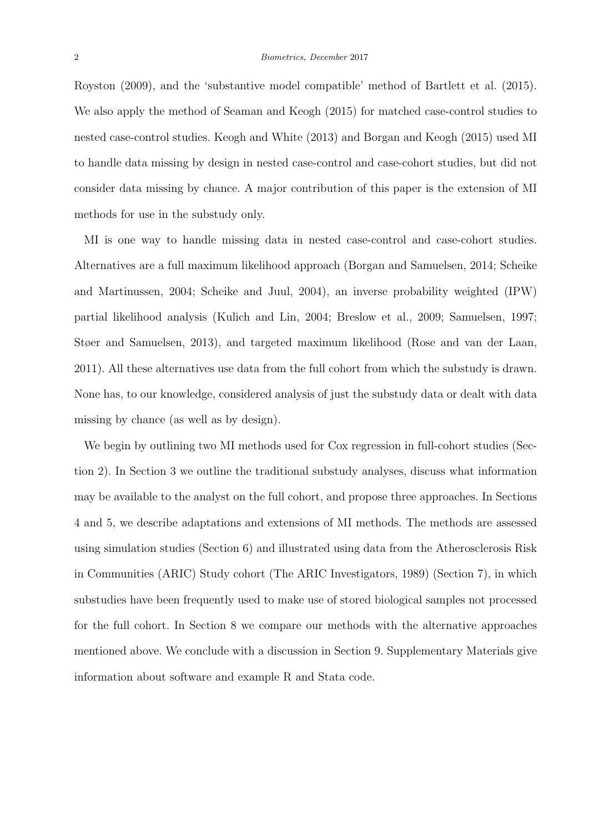Royston (2009), and the 'substantive model compatible' method of Bartlett et al. (2015). We also apply the method of Seaman and Keogh (2015) for matched case-control studies to nested case-control studies. Keogh and White (2013) and Borgan and Keogh (2015) used MI to handle data missing by design in nested case-control and case-cohort studies, but did not consider data missing by chance. A major contribution of this paper is the extension of MI methods for use in the substudy only.

MI is one way to handle missing data in nested case-control and case-cohort studies. Alternatives are a full maximum likelihood approach (Borgan and Samuelsen, 2014; Scheike and Martinussen, 2004; Scheike and Juul, 2004), an inverse probability weighted (IPW) partial likelihood analysis (Kulich and Lin, 2004; Breslow et al., 2009; Samuelsen, 1997; Støer and Samuelsen, 2013), and targeted maximum likelihood (Rose and van der Laan, 2011). All these alternatives use data from the full cohort from which the substudy is drawn. None has, to our knowledge, considered analysis of just the substudy data or dealt with data missing by chance (as well as by design).

We begin by outlining two MI methods used for Cox regression in full-cohort studies (Section 2). In Section 3 we outline the traditional substudy analyses, discuss what information may be available to the analyst on the full cohort, and propose three approaches. In Sections 4 and 5, we describe adaptations and extensions of MI methods. The methods are assessed using simulation studies (Section 6) and illustrated using data from the Atherosclerosis Risk in Communities (ARIC) Study cohort (The ARIC Investigators, 1989) (Section 7), in which substudies have been frequently used to make use of stored biological samples not processed for the full cohort. In Section 8 we compare our methods with the alternative approaches mentioned above. We conclude with a discussion in Section 9. Supplementary Materials give information about software and example R and Stata code.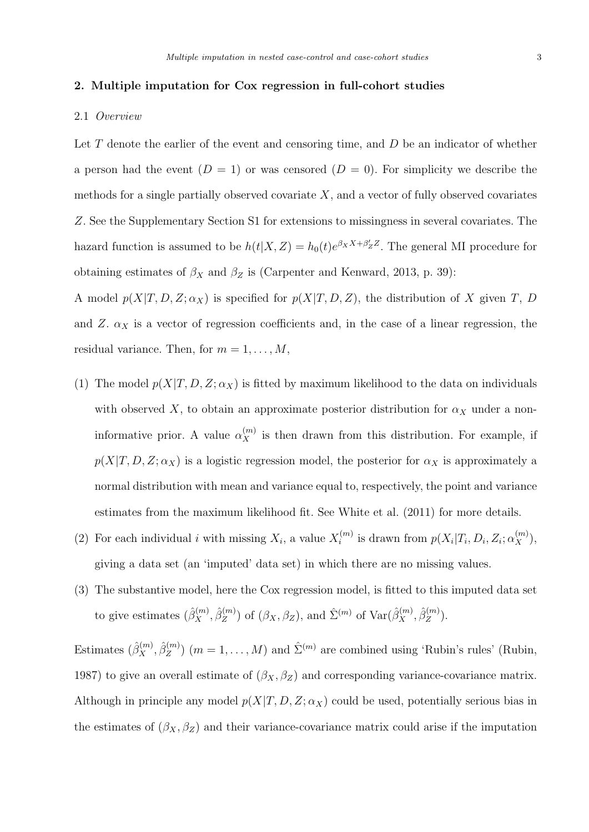## 2. Multiple imputation for Cox regression in full-cohort studies

## 2.1 Overview

Let T denote the earlier of the event and censoring time, and  $D$  be an indicator of whether a person had the event  $(D = 1)$  or was censored  $(D = 0)$ . For simplicity we describe the methods for a single partially observed covariate  $X$ , and a vector of fully observed covariates Z. See the Supplementary Section S1 for extensions to missingness in several covariates. The hazard function is assumed to be  $h(t|X, Z) = h_0(t)e^{\beta_X X + \beta_Z Z}$ . The general MI procedure for obtaining estimates of  $\beta_X$  and  $\beta_Z$  is (Carpenter and Kenward, 2013, p. 39):

A model  $p(X|T, D, Z; \alpha_X)$  is specified for  $p(X|T, D, Z)$ , the distribution of X given T, D and Z.  $\alpha_X$  is a vector of regression coefficients and, in the case of a linear regression, the residual variance. Then, for  $m = 1, \ldots, M$ ,

- (1) The model  $p(X|T, D, Z; \alpha_X)$  is fitted by maximum likelihood to the data on individuals with observed X, to obtain an approximate posterior distribution for  $\alpha_X$  under a noninformative prior. A value  $\alpha_X^{(m)}$  is then drawn from this distribution. For example, if  $p(X|T, D, Z; \alpha_X)$  is a logistic regression model, the posterior for  $\alpha_X$  is approximately a normal distribution with mean and variance equal to, respectively, the point and variance estimates from the maximum likelihood fit. See White et al. (2011) for more details.
- (2) For each individual *i* with missing  $X_i$ , a value  $X_i^{(m)}$  $i^{(m)}$  is drawn from  $p(X_i|T_i, D_i, Z_i; \alpha_X^{(m)})$ , giving a data set (an 'imputed' data set) in which there are no missing values.
- (3) The substantive model, here the Cox regression model, is fitted to this imputed data set to give estimates  $(\hat{\beta}_X^{(m)}, \hat{\beta}_Z^{(m)})$  $\hat{\mathcal{L}}_Z^{(m)}$  of  $(\beta_X, \beta_Z)$ , and  $\hat{\Sigma}^{(m)}$  of  $\text{Var}(\hat{\beta}_X^{(m)}, \hat{\beta}_Z^{(m)})$  $\binom{m}{Z}$ .

Estimates  $(\hat{\beta}_X^{(m)}, \hat{\beta}_Z^{(m)})$  $Z_Z^{(m)}$ )  $(m = 1, ..., M)$  and  $\hat{\Sigma}^{(m)}$  are combined using 'Rubin's rules' (Rubin, 1987) to give an overall estimate of  $(\beta_X, \beta_Z)$  and corresponding variance-covariance matrix. Although in principle any model  $p(X|T, D, Z; \alpha_X)$  could be used, potentially serious bias in the estimates of  $(\beta_X, \beta_Z)$  and their variance-covariance matrix could arise if the imputation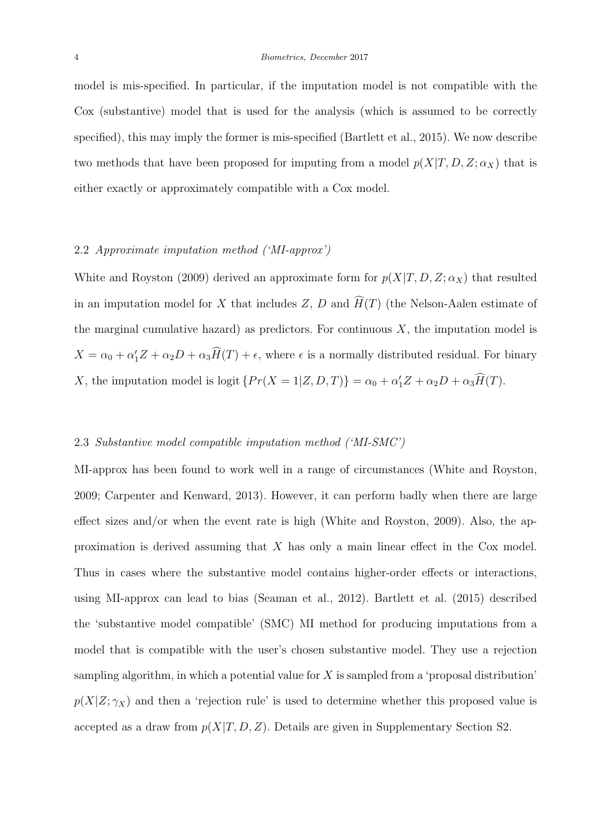model is mis-specified. In particular, if the imputation model is not compatible with the Cox (substantive) model that is used for the analysis (which is assumed to be correctly specified), this may imply the former is mis-specified (Bartlett et al., 2015). We now describe two methods that have been proposed for imputing from a model  $p(X|T, D, Z; \alpha_X)$  that is either exactly or approximately compatible with a Cox model.

## 2.2 Approximate imputation method ('MI-approx')

White and Royston (2009) derived an approximate form for  $p(X|T, D, Z; \alpha_X)$  that resulted in an imputation model for X that includes Z, D and  $\widehat{H}(T)$  (the Nelson-Aalen estimate of the marginal cumulative hazard) as predictors. For continuous  $X$ , the imputation model is  $X = \alpha_0 + \alpha'_1 Z + \alpha_2 D + \alpha_3 \widetilde{H}(T) + \epsilon$ , where  $\epsilon$  is a normally distributed residual. For binary X, the imputation model is logit  $\{Pr(X = 1 | Z, D, T)\} = \alpha_0 + \alpha'_1 Z + \alpha_2 D + \alpha_3 \widehat{H}(T)$ .

## 2.3 Substantive model compatible imputation method ('MI-SMC')

MI-approx has been found to work well in a range of circumstances (White and Royston, 2009; Carpenter and Kenward, 2013). However, it can perform badly when there are large effect sizes and/or when the event rate is high (White and Royston, 2009). Also, the approximation is derived assuming that X has only a main linear effect in the Cox model. Thus in cases where the substantive model contains higher-order effects or interactions, using MI-approx can lead to bias (Seaman et al., 2012). Bartlett et al. (2015) described the 'substantive model compatible' (SMC) MI method for producing imputations from a model that is compatible with the user's chosen substantive model. They use a rejection sampling algorithm, in which a potential value for X is sampled from a 'proposal distribution'  $p(X|Z; \gamma_X)$  and then a 'rejection rule' is used to determine whether this proposed value is accepted as a draw from  $p(X|T, D, Z)$ . Details are given in Supplementary Section S2.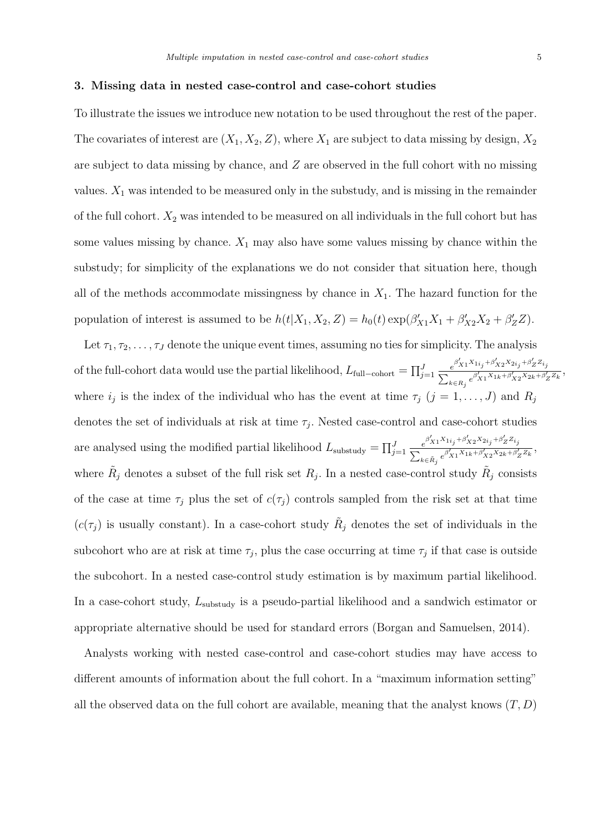## 3. Missing data in nested case-control and case-cohort studies

To illustrate the issues we introduce new notation to be used throughout the rest of the paper. The covariates of interest are  $(X_1, X_2, Z)$ , where  $X_1$  are subject to data missing by design,  $X_2$ are subject to data missing by chance, and Z are observed in the full cohort with no missing values.  $X_1$  was intended to be measured only in the substudy, and is missing in the remainder of the full cohort.  $X_2$  was intended to be measured on all individuals in the full cohort but has some values missing by chance.  $X_1$  may also have some values missing by chance within the substudy; for simplicity of the explanations we do not consider that situation here, though all of the methods accommodate missingness by chance in  $X_1$ . The hazard function for the population of interest is assumed to be  $h(t|X_1, X_2, Z) = h_0(t) \exp(\beta'_{X_1} X_1 + \beta'_{X_2} X_2 + \beta'_{Z} Z).$ 

Let  $\tau_1, \tau_2, \ldots, \tau_J$  denote the unique event times, assuming no ties for simplicity. The analysis of the full-cohort data would use the partial likelihood,  $L_{\text{full-cohort}} = \prod_{j=1}^{J} \frac{e^{\beta'_{X1}X_{1i_j} + \beta'_{X2}X_{2i_j} + \beta'_{Z}Z_{i_j}}}{\sum_{j=1}^{J} \frac{e^{\beta'_{X1}X_{1i_j} + \beta'_{X2}X_{2i_j} + \beta'_{Z}Z_{i_j}}}{\sum_{j=1}^{J} \frac{e^{\beta'_{X1}X_{1i_j} + \beta'_{X2}X_{2i_j}$  $\frac{e^{-\lambda_1-\frac{\lambda_1}{2}}\lambda_2-\frac{\lambda_2}{2}-\frac{\lambda_3}{2}}{\sum_{k\in R_j}e^{\beta'_{X1}X_{1k}+\beta'_{X2}X_{2k}+\beta'_{Z}Z_k}},$ where  $i_j$  is the index of the individual who has the event at time  $\tau_j$   $(j = 1, \ldots, J)$  and  $R_j$ denotes the set of individuals at risk at time  $\tau_j$ . Nested case-control and case-cohort studies are analysed using the modified partial likelihood  $L_{\text{substudy}} = \prod_{j=1}^{J} \frac{e^{\beta'_{X1} X_{1i_j} + \beta'_{X2} X_{2i_j} + \beta'_{Z} Z_{i_j}}}{\sum_{j=1}^{J} \frac{e^{\beta'_{X1} X_{1i_j} + \beta'_{X2} X_{2i_j} + \beta'_{Z} Z_{i_j}}}{\sum_{j=1}^{J} \frac{e^{\beta'_{X1} X_{1i_j} + \beta'_{X2} X_{2i_j} + \beta'_{Z} Z$  $\frac{e^{-\lambda_1-4t_j-\lambda_2-2t_j}-2^{-t_j}}{\sum_{k\in \tilde R_j}e^{\beta'_{X1}X_{1k}+\beta'_{X2}X_{2k}+\beta'_{Z}Z_k}},$ where  $\tilde{R}_j$  denotes a subset of the full risk set  $R_j$ . In a nested case-control study  $\tilde{R}_j$  consists of the case at time  $\tau_j$  plus the set of  $c(\tau_j)$  controls sampled from the risk set at that time  $(c(\tau_j))$  is usually constant). In a case-cohort study  $\tilde{R}_j$  denotes the set of individuals in the subcohort who are at risk at time  $\tau_j$ , plus the case occurring at time  $\tau_j$  if that case is outside the subcohort. In a nested case-control study estimation is by maximum partial likelihood. In a case-cohort study,  $L_{\text{substudy}}$  is a pseudo-partial likelihood and a sandwich estimator or appropriate alternative should be used for standard errors (Borgan and Samuelsen, 2014).

Analysts working with nested case-control and case-cohort studies may have access to different amounts of information about the full cohort. In a "maximum information setting" all the observed data on the full cohort are available, meaning that the analyst knows  $(T, D)$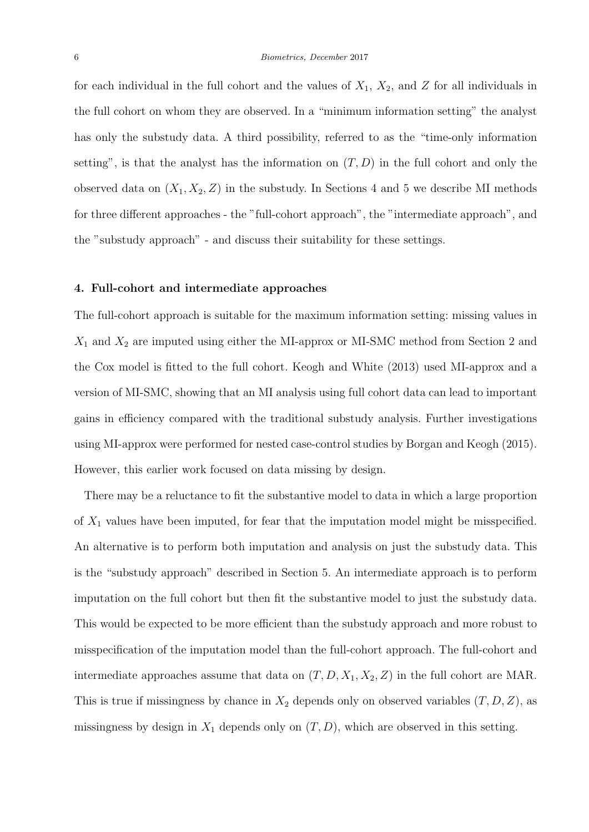for each individual in the full cohort and the values of  $X_1$ ,  $X_2$ , and Z for all individuals in the full cohort on whom they are observed. In a "minimum information setting" the analyst has only the substudy data. A third possibility, referred to as the "time-only information setting", is that the analyst has the information on  $(T, D)$  in the full cohort and only the observed data on  $(X_1, X_2, Z)$  in the substudy. In Sections 4 and 5 we describe MI methods for three different approaches - the "full-cohort approach", the "intermediate approach", and the "substudy approach" - and discuss their suitability for these settings.

## 4. Full-cohort and intermediate approaches

The full-cohort approach is suitable for the maximum information setting: missing values in  $X_1$  and  $X_2$  are imputed using either the MI-approx or MI-SMC method from Section 2 and the Cox model is fitted to the full cohort. Keogh and White (2013) used MI-approx and a version of MI-SMC, showing that an MI analysis using full cohort data can lead to important gains in efficiency compared with the traditional substudy analysis. Further investigations using MI-approx were performed for nested case-control studies by Borgan and Keogh (2015). However, this earlier work focused on data missing by design.

There may be a reluctance to fit the substantive model to data in which a large proportion of  $X_1$  values have been imputed, for fear that the imputation model might be misspecified. An alternative is to perform both imputation and analysis on just the substudy data. This is the "substudy approach" described in Section 5. An intermediate approach is to perform imputation on the full cohort but then fit the substantive model to just the substudy data. This would be expected to be more efficient than the substudy approach and more robust to misspecification of the imputation model than the full-cohort approach. The full-cohort and intermediate approaches assume that data on  $(T, D, X_1, X_2, Z)$  in the full cohort are MAR. This is true if missingness by chance in  $X_2$  depends only on observed variables  $(T, D, Z)$ , as missingness by design in  $X_1$  depends only on  $(T, D)$ , which are observed in this setting.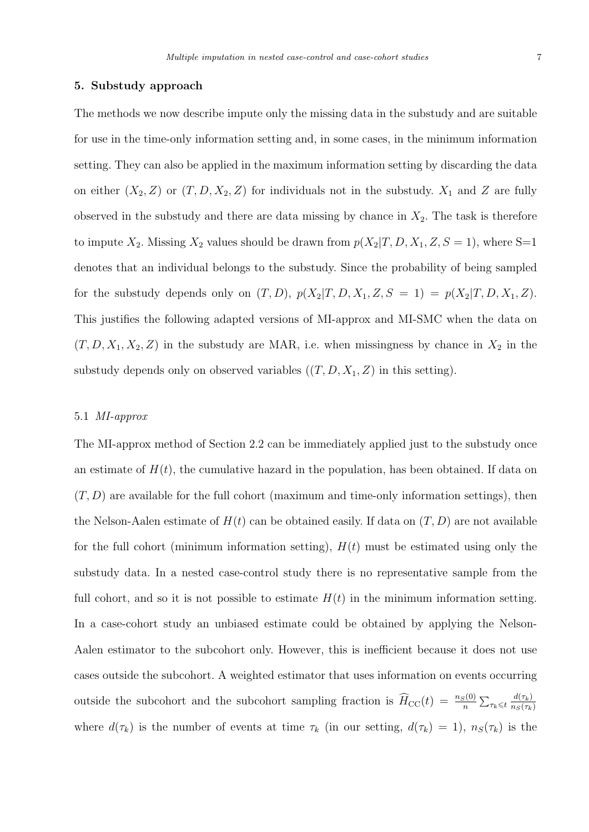## 5. Substudy approach

The methods we now describe impute only the missing data in the substudy and are suitable for use in the time-only information setting and, in some cases, in the minimum information setting. They can also be applied in the maximum information setting by discarding the data on either  $(X_2, Z)$  or  $(T, D, X_2, Z)$  for individuals not in the substudy.  $X_1$  and Z are fully observed in the substudy and there are data missing by chance in  $X_2$ . The task is therefore to impute  $X_2$ . Missing  $X_2$  values should be drawn from  $p(X_2|T, D, X_1, Z, S = 1)$ , where S=1 denotes that an individual belongs to the substudy. Since the probability of being sampled for the substudy depends only on  $(T, D)$ ,  $p(X_2|T, D, X_1, Z, S = 1) = p(X_2|T, D, X_1, Z)$ . This justifies the following adapted versions of MI-approx and MI-SMC when the data on  $(T, D, X_1, X_2, Z)$  in the substudy are MAR, i.e. when missingness by chance in  $X_2$  in the substudy depends only on observed variables  $((T, D, X_1, Z)$  in this setting).

# 5.1 MI-approx

The MI-approx method of Section 2.2 can be immediately applied just to the substudy once an estimate of  $H(t)$ , the cumulative hazard in the population, has been obtained. If data on  $(T, D)$  are available for the full cohort (maximum and time-only information settings), then the Nelson-Aalen estimate of  $H(t)$  can be obtained easily. If data on  $(T, D)$  are not available for the full cohort (minimum information setting),  $H(t)$  must be estimated using only the substudy data. In a nested case-control study there is no representative sample from the full cohort, and so it is not possible to estimate  $H(t)$  in the minimum information setting. In a case-cohort study an unbiased estimate could be obtained by applying the Nelson-Aalen estimator to the subcohort only. However, this is inefficient because it does not use cases outside the subcohort. A weighted estimator that uses information on events occurring outside the subcohort and the subcohort sampling fraction is  $\widehat{H}_{\text{CC}}(t) = \frac{n_S(0)}{n} \sum_{\tau_k \leqslant t} \frac{d(\tau_k)}{n_S(\tau_k)}$  $n_S(\tau_k)$ where  $d(\tau_k)$  is the number of events at time  $\tau_k$  (in our setting,  $d(\tau_k) = 1$ ),  $n_S(\tau_k)$  is the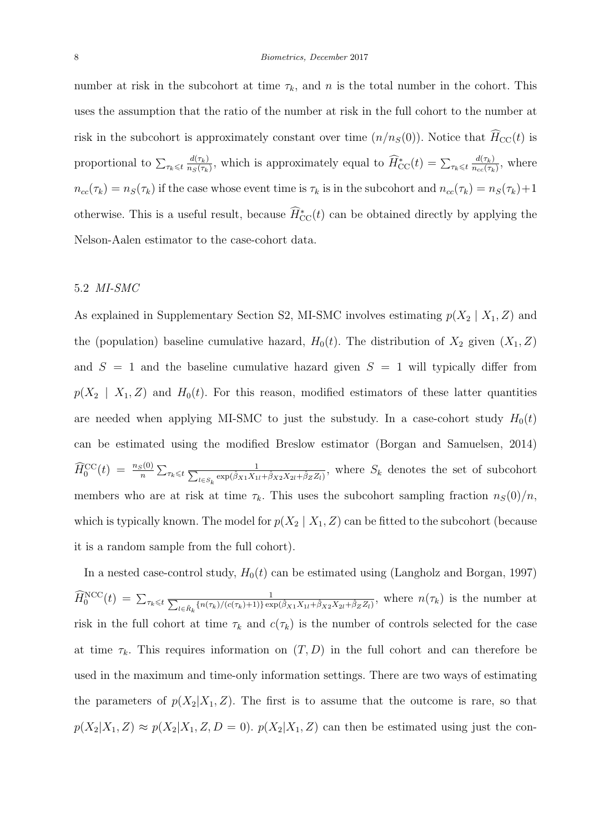number at risk in the subcohort at time  $\tau_k$ , and n is the total number in the cohort. This uses the assumption that the ratio of the number at risk in the full cohort to the number at risk in the subcohort is approximately constant over time  $(n/n<sub>S</sub>(0))$ . Notice that  $\hat{H}_{CC}(t)$  is proportional to  $\sum_{\tau_k \leq t} \frac{d(\tau_k)}{n_S(\tau_k)}$  $\frac{d(\tau_k)}{n_S(\tau_k)}$ , which is approximately equal to  $\widehat{H}_{\text{CC}}^*(t) = \sum_{\tau_k \leq t} \frac{d(\tau_k)}{n_{cc}(\tau_k)}$  $\frac{a(\tau_k)}{n_{cc}(\tau_k)}$ , where  $n_{cc}(\tau_k) = n_S(\tau_k)$  if the case whose event time is  $\tau_k$  is in the subcohort and  $n_{cc}(\tau_k) = n_S(\tau_k)+1$ otherwise. This is a useful result, because  $\widehat{H}_{\text{CC}}^{*}(t)$  can be obtained directly by applying the Nelson-Aalen estimator to the case-cohort data.

# 5.2 MI-SMC

As explained in Supplementary Section S2, MI-SMC involves estimating  $p(X_2 | X_1, Z)$  and the (population) baseline cumulative hazard,  $H_0(t)$ . The distribution of  $X_2$  given  $(X_1, Z)$ and  $S = 1$  and the baseline cumulative hazard given  $S = 1$  will typically differ from  $p(X_2 \mid X_1, Z)$  and  $H_0(t)$ . For this reason, modified estimators of these latter quantities are needed when applying MI-SMC to just the substudy. In a case-cohort study  $H_0(t)$ can be estimated using the modified Breslow estimator (Borgan and Samuelsen, 2014)  $\widehat{H}_0^{\text{CC}}(t) \;=\; \frac{n_S(0)}{n} \sum_{\tau_k \leqslant t} \frac{1}{\sum_{l \in S_{\tau}} \exp(\hat{\beta}_{X1}X_1)}$  $\frac{1}{\log k \exp(\hat{\beta}_{X1}X_{1l} + \hat{\beta}_{X2}X_{2l} + \hat{\beta}_Z Z_l)}$ , where  $S_k$  denotes the set of subcohort members who are at risk at time  $\tau_k$ . This uses the subcohort sampling fraction  $n_S(0)/n$ , which is typically known. The model for  $p(X_2 | X_1, Z)$  can be fitted to the subcohort (because it is a random sample from the full cohort).

In a nested case-control study,  $H_0(t)$  can be estimated using (Langholz and Borgan, 1997)  $\widehat{H}_0^{\text{NCC}}(t) \ = \ \sum_{\tau_k \leqslant t} \frac{1}{\sum_{l \in \tilde{B}_{\tau}} \{n(\tau_k)/(c(\tau_k)+1)\} \, \text{ex}}$  $\frac{1}{\ell \in \tilde{R}_k} \{n(\tau_k)/(c(\tau_k)+1)\} \exp(\hat{\beta}_{X1}X_{1l}+\hat{\beta}_{X2}X_{2l}+\hat{\beta}_Z Z_l)},$  where  $n(\tau_k)$  is the number at risk in the full cohort at time  $\tau_k$  and  $c(\tau_k)$  is the number of controls selected for the case at time  $\tau_k$ . This requires information on  $(T, D)$  in the full cohort and can therefore be used in the maximum and time-only information settings. There are two ways of estimating the parameters of  $p(X_2|X_1, Z)$ . The first is to assume that the outcome is rare, so that  $p(X_2|X_1, Z) \approx p(X_2|X_1, Z, D = 0)$ .  $p(X_2|X_1, Z)$  can then be estimated using just the con-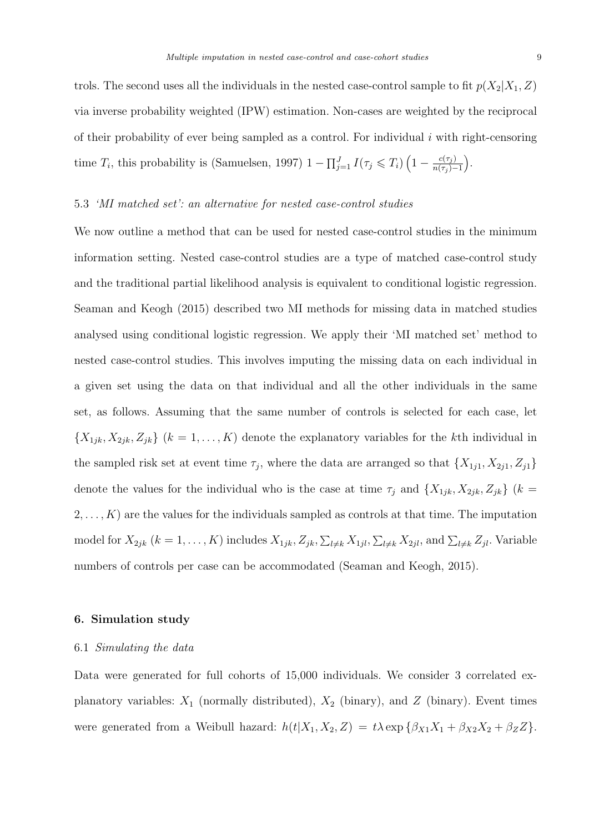trols. The second uses all the individuals in the nested case-control sample to fit  $p(X_2|X_1, Z)$ via inverse probability weighted (IPW) estimation. Non-cases are weighted by the reciprocal of their probability of ever being sampled as a control. For individual  $i$  with right-censoring time  $T_i$ , this probability is (Samuelsen, 1997)  $1 - \prod_{j=1}^{J} I(\tau_j \leq T_i) \left(1 - \frac{c(\tau_j)}{n(\tau_j)}\right)$  $n(\tau_j)-1$ .

#### 5.3 'MI matched set': an alternative for nested case-control studies

We now outline a method that can be used for nested case-control studies in the minimum information setting. Nested case-control studies are a type of matched case-control study and the traditional partial likelihood analysis is equivalent to conditional logistic regression. Seaman and Keogh (2015) described two MI methods for missing data in matched studies analysed using conditional logistic regression. We apply their 'MI matched set' method to nested case-control studies. This involves imputing the missing data on each individual in a given set using the data on that individual and all the other individuals in the same set, as follows. Assuming that the same number of controls is selected for each case, let  $\{X_{1jk}, X_{2jk}, Z_{jk}\}\ (k = 1, \ldots, K)$  denote the explanatory variables for the kth individual in the sampled risk set at event time  $\tau_j$ , where the data are arranged so that  $\{X_{1j1}, X_{2j1}, Z_{j1}\}$ denote the values for the individual who is the case at time  $\tau_j$  and  $\{X_{1jk}, X_{2jk}, Z_{jk}\}\$  ( $k =$  $(2, \ldots, K)$  are the values for the individuals sampled as controls at that time. The imputation model for  $X_{2jk}$   $(k = 1, ..., K)$  includes  $X_{1jk}, Z_{jk}, \sum_{l \neq k} X_{1jl}, \sum_{l \neq k} X_{2jl}$ , and  $\sum_{l \neq k} Z_{jl}$ . Variable numbers of controls per case can be accommodated (Seaman and Keogh, 2015).

#### 6. Simulation study

## 6.1 Simulating the data

Data were generated for full cohorts of 15,000 individuals. We consider 3 correlated explanatory variables:  $X_1$  (normally distributed),  $X_2$  (binary), and  $Z$  (binary). Event times were generated from a Weibull hazard:  $h(t|X_1, X_2, Z) = t\lambda \exp \{\beta_{X1}X_1 + \beta_{X2}X_2 + \beta_{Z}Z\}.$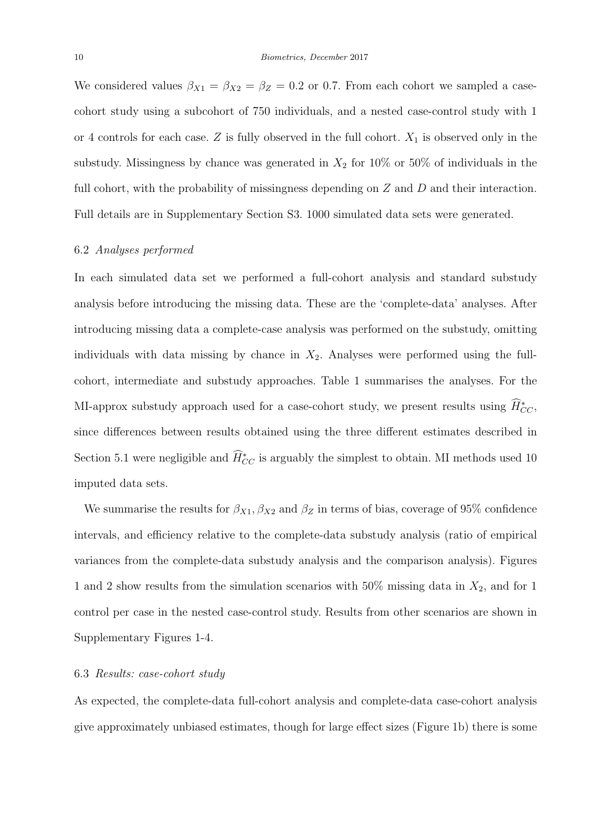We considered values  $\beta_{X1} = \beta_{X2} = \beta_Z = 0.2$  or 0.7. From each cohort we sampled a casecohort study using a subcohort of 750 individuals, and a nested case-control study with 1 or 4 controls for each case.  $Z$  is fully observed in the full cohort.  $X_1$  is observed only in the substudy. Missingness by chance was generated in  $X_2$  for 10% or 50% of individuals in the full cohort, with the probability of missingness depending on Z and D and their interaction. Full details are in Supplementary Section S3. 1000 simulated data sets were generated.

## 6.2 Analyses performed

In each simulated data set we performed a full-cohort analysis and standard substudy analysis before introducing the missing data. These are the 'complete-data' analyses. After introducing missing data a complete-case analysis was performed on the substudy, omitting individuals with data missing by chance in  $X_2$ . Analyses were performed using the fullcohort, intermediate and substudy approaches. Table 1 summarises the analyses. For the MI-approx substudy approach used for a case-cohort study, we present results using  $\widehat{H}_{CC}^*$ , since differences between results obtained using the three different estimates described in Section 5.1 were negligible and  $\widehat{H}_{CC}^{*}$  is arguably the simplest to obtain. MI methods used 10 imputed data sets.

We summarise the results for  $\beta_{X1}, \beta_{X2}$  and  $\beta_Z$  in terms of bias, coverage of 95% confidence intervals, and efficiency relative to the complete-data substudy analysis (ratio of empirical variances from the complete-data substudy analysis and the comparison analysis). Figures 1 and 2 show results from the simulation scenarios with  $50\%$  missing data in  $X_2$ , and for 1 control per case in the nested case-control study. Results from other scenarios are shown in Supplementary Figures 1-4.

#### 6.3 Results: case-cohort study

As expected, the complete-data full-cohort analysis and complete-data case-cohort analysis give approximately unbiased estimates, though for large effect sizes (Figure 1b) there is some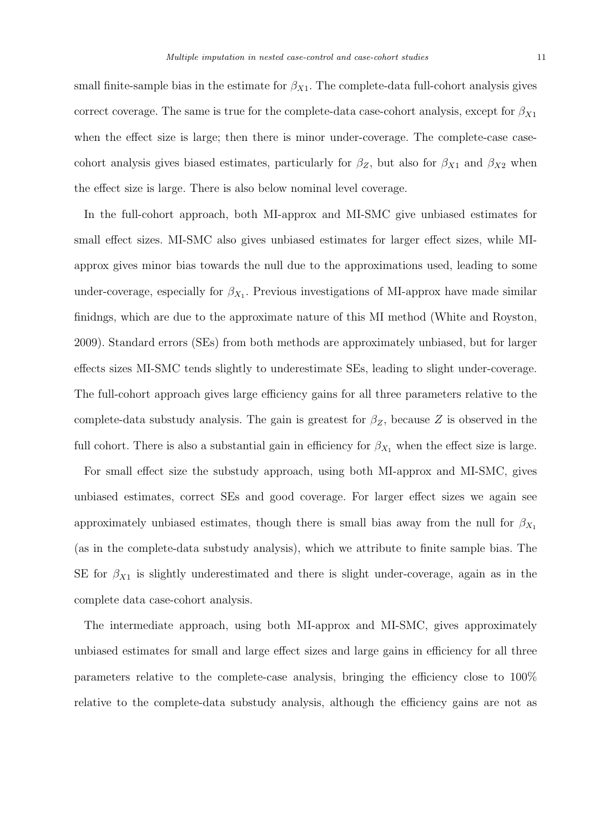small finite-sample bias in the estimate for  $\beta_{X1}$ . The complete-data full-cohort analysis gives correct coverage. The same is true for the complete-data case-cohort analysis, except for  $\beta_{X1}$ when the effect size is large; then there is minor under-coverage. The complete-case casecohort analysis gives biased estimates, particularly for  $\beta_Z$ , but also for  $\beta_{X1}$  and  $\beta_{X2}$  when the effect size is large. There is also below nominal level coverage.

In the full-cohort approach, both MI-approx and MI-SMC give unbiased estimates for small effect sizes. MI-SMC also gives unbiased estimates for larger effect sizes, while MIapprox gives minor bias towards the null due to the approximations used, leading to some under-coverage, especially for  $\beta_{X_1}$ . Previous investigations of MI-approx have made similar finidngs, which are due to the approximate nature of this MI method (White and Royston, 2009). Standard errors (SEs) from both methods are approximately unbiased, but for larger effects sizes MI-SMC tends slightly to underestimate SEs, leading to slight under-coverage. The full-cohort approach gives large efficiency gains for all three parameters relative to the complete-data substudy analysis. The gain is greatest for  $\beta_Z$ , because Z is observed in the full cohort. There is also a substantial gain in efficiency for  $\beta_{X_1}$  when the effect size is large.

For small effect size the substudy approach, using both MI-approx and MI-SMC, gives unbiased estimates, correct SEs and good coverage. For larger effect sizes we again see approximately unbiased estimates, though there is small bias away from the null for  $\beta_{X_1}$ (as in the complete-data substudy analysis), which we attribute to finite sample bias. The SE for  $\beta_{X_1}$  is slightly underestimated and there is slight under-coverage, again as in the complete data case-cohort analysis.

The intermediate approach, using both MI-approx and MI-SMC, gives approximately unbiased estimates for small and large effect sizes and large gains in efficiency for all three parameters relative to the complete-case analysis, bringing the efficiency close to 100% relative to the complete-data substudy analysis, although the efficiency gains are not as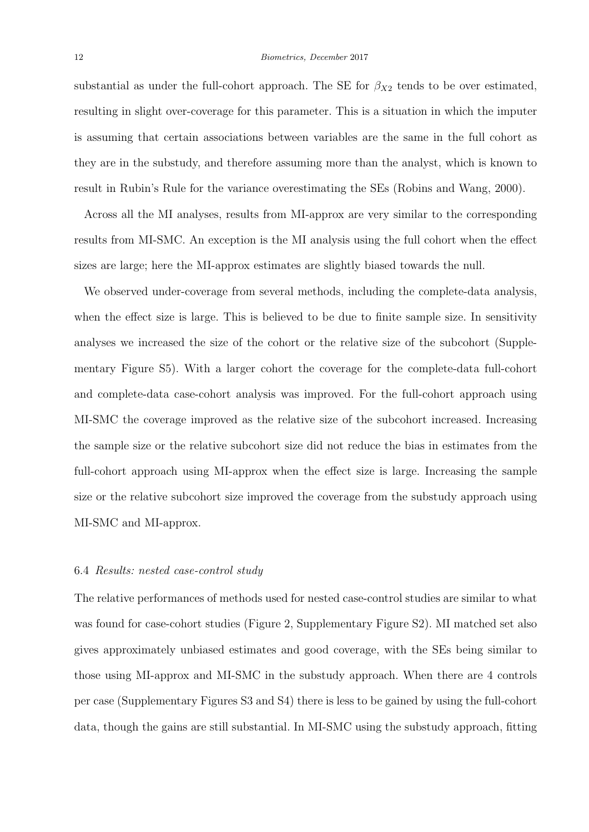substantial as under the full-cohort approach. The SE for  $\beta_{X2}$  tends to be over estimated, resulting in slight over-coverage for this parameter. This is a situation in which the imputer is assuming that certain associations between variables are the same in the full cohort as they are in the substudy, and therefore assuming more than the analyst, which is known to result in Rubin's Rule for the variance overestimating the SEs (Robins and Wang, 2000).

Across all the MI analyses, results from MI-approx are very similar to the corresponding results from MI-SMC. An exception is the MI analysis using the full cohort when the effect sizes are large; here the MI-approx estimates are slightly biased towards the null.

We observed under-coverage from several methods, including the complete-data analysis, when the effect size is large. This is believed to be due to finite sample size. In sensitivity analyses we increased the size of the cohort or the relative size of the subcohort (Supplementary Figure S5). With a larger cohort the coverage for the complete-data full-cohort and complete-data case-cohort analysis was improved. For the full-cohort approach using MI-SMC the coverage improved as the relative size of the subcohort increased. Increasing the sample size or the relative subcohort size did not reduce the bias in estimates from the full-cohort approach using MI-approx when the effect size is large. Increasing the sample size or the relative subcohort size improved the coverage from the substudy approach using MI-SMC and MI-approx.

## 6.4 Results: nested case-control study

The relative performances of methods used for nested case-control studies are similar to what was found for case-cohort studies (Figure 2, Supplementary Figure S2). MI matched set also gives approximately unbiased estimates and good coverage, with the SEs being similar to those using MI-approx and MI-SMC in the substudy approach. When there are 4 controls per case (Supplementary Figures S3 and S4) there is less to be gained by using the full-cohort data, though the gains are still substantial. In MI-SMC using the substudy approach, fitting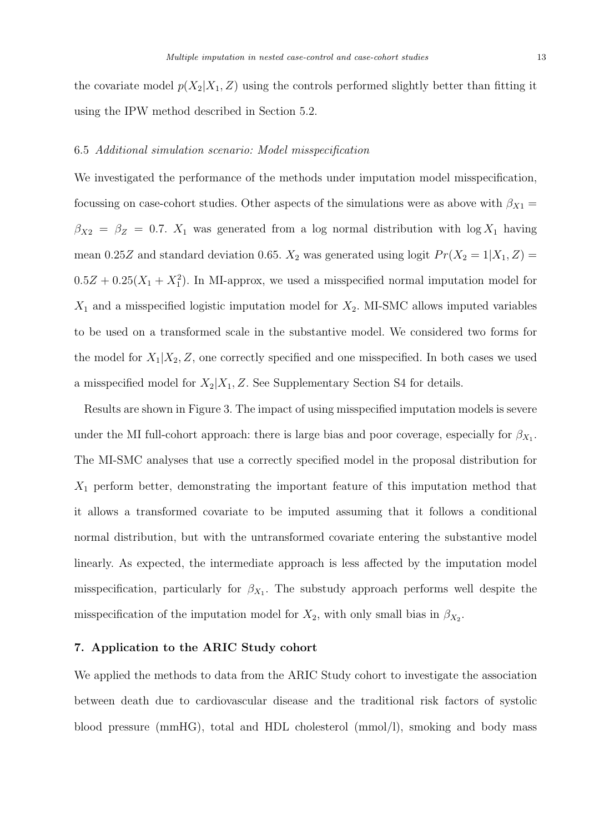the covariate model  $p(X_2|X_1, Z)$  using the controls performed slightly better than fitting it using the IPW method described in Section 5.2.

## 6.5 Additional simulation scenario: Model misspecification

We investigated the performance of the methods under imputation model misspecification, focussing on case-cohort studies. Other aspects of the simulations were as above with  $\beta_{X1} =$  $\beta_{X2} = \beta_Z = 0.7$ .  $X_1$  was generated from a log normal distribution with log  $X_1$  having mean 0.25Z and standard deviation 0.65.  $X_2$  was generated using logit  $Pr(X_2 = 1 | X_1, Z)$  =  $0.5Z + 0.25(X_1 + X_1^2)$ . In MI-approx, we used a misspecified normal imputation model for  $X_1$  and a misspecified logistic imputation model for  $X_2$ . MI-SMC allows imputed variables to be used on a transformed scale in the substantive model. We considered two forms for the model for  $X_1|X_2, Z$ , one correctly specified and one misspecified. In both cases we used a misspecified model for  $X_2|X_1, Z$ . See Supplementary Section S4 for details.

Results are shown in Figure 3. The impact of using misspecified imputation models is severe under the MI full-cohort approach: there is large bias and poor coverage, especially for  $\beta_{X_1}$ . The MI-SMC analyses that use a correctly specified model in the proposal distribution for  $X_1$  perform better, demonstrating the important feature of this imputation method that it allows a transformed covariate to be imputed assuming that it follows a conditional normal distribution, but with the untransformed covariate entering the substantive model linearly. As expected, the intermediate approach is less affected by the imputation model misspecification, particularly for  $\beta_{X_1}$ . The substudy approach performs well despite the misspecification of the imputation model for  $X_2$ , with only small bias in  $\beta_{X_2}$ .

# 7. Application to the ARIC Study cohort

We applied the methods to data from the ARIC Study cohort to investigate the association between death due to cardiovascular disease and the traditional risk factors of systolic blood pressure (mmHG), total and HDL cholesterol (mmol/l), smoking and body mass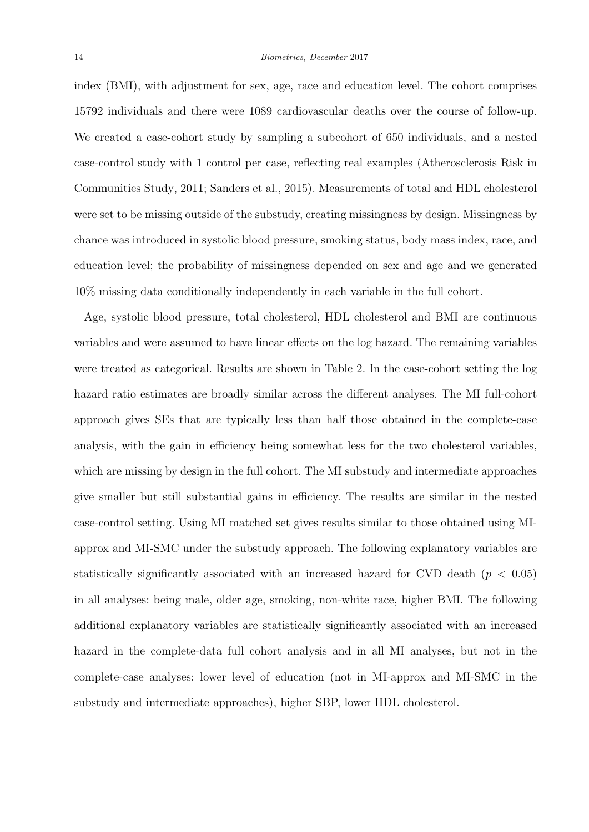index (BMI), with adjustment for sex, age, race and education level. The cohort comprises 15792 individuals and there were 1089 cardiovascular deaths over the course of follow-up. We created a case-cohort study by sampling a subcohort of 650 individuals, and a nested case-control study with 1 control per case, reflecting real examples (Atherosclerosis Risk in Communities Study, 2011; Sanders et al., 2015). Measurements of total and HDL cholesterol were set to be missing outside of the substudy, creating missingness by design. Missingness by chance was introduced in systolic blood pressure, smoking status, body mass index, race, and education level; the probability of missingness depended on sex and age and we generated 10% missing data conditionally independently in each variable in the full cohort.

Age, systolic blood pressure, total cholesterol, HDL cholesterol and BMI are continuous variables and were assumed to have linear effects on the log hazard. The remaining variables were treated as categorical. Results are shown in Table 2. In the case-cohort setting the log hazard ratio estimates are broadly similar across the different analyses. The MI full-cohort approach gives SEs that are typically less than half those obtained in the complete-case analysis, with the gain in efficiency being somewhat less for the two cholesterol variables, which are missing by design in the full cohort. The MI substudy and intermediate approaches give smaller but still substantial gains in efficiency. The results are similar in the nested case-control setting. Using MI matched set gives results similar to those obtained using MIapprox and MI-SMC under the substudy approach. The following explanatory variables are statistically significantly associated with an increased hazard for CVD death  $(p < 0.05)$ in all analyses: being male, older age, smoking, non-white race, higher BMI. The following additional explanatory variables are statistically significantly associated with an increased hazard in the complete-data full cohort analysis and in all MI analyses, but not in the complete-case analyses: lower level of education (not in MI-approx and MI-SMC in the substudy and intermediate approaches), higher SBP, lower HDL cholesterol.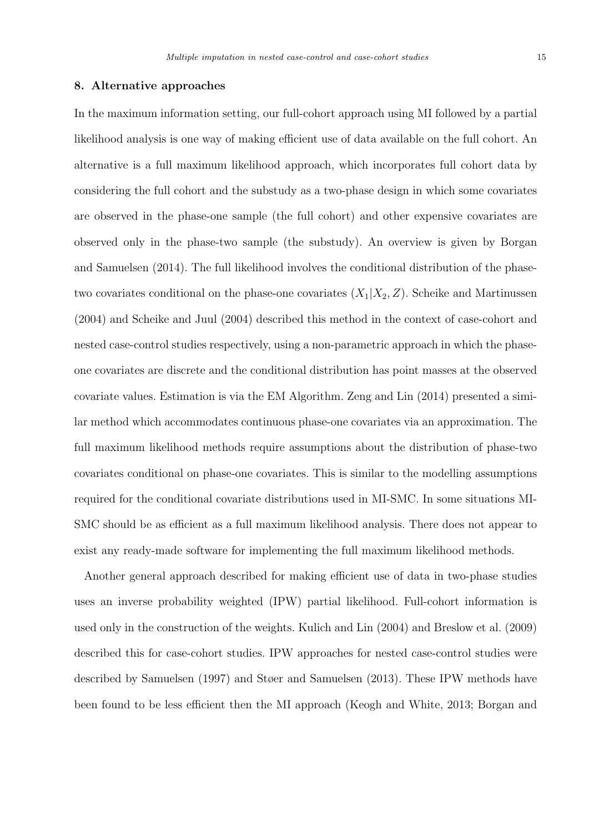## 8. Alternative approaches

In the maximum information setting, our full-cohort approach using MI followed by a partial likelihood analysis is one way of making efficient use of data available on the full cohort. An alternative is a full maximum likelihood approach, which incorporates full cohort data by considering the full cohort and the substudy as a two-phase design in which some covariates are observed in the phase-one sample (the full cohort) and other expensive covariates are observed only in the phase-two sample (the substudy). An overview is given by Borgan and Samuelsen (2014). The full likelihood involves the conditional distribution of the phasetwo covariates conditional on the phase-one covariates  $(X_1|X_2, Z)$ . Scheike and Martinussen (2004) and Scheike and Juul (2004) described this method in the context of case-cohort and nested case-control studies respectively, using a non-parametric approach in which the phaseone covariates are discrete and the conditional distribution has point masses at the observed covariate values. Estimation is via the EM Algorithm. Zeng and Lin (2014) presented a similar method which accommodates continuous phase-one covariates via an approximation. The full maximum likelihood methods require assumptions about the distribution of phase-two covariates conditional on phase-one covariates. This is similar to the modelling assumptions required for the conditional covariate distributions used in MI-SMC. In some situations MI-SMC should be as efficient as a full maximum likelihood analysis. There does not appear to exist any ready-made software for implementing the full maximum likelihood methods.

Another general approach described for making efficient use of data in two-phase studies uses an inverse probability weighted (IPW) partial likelihood. Full-cohort information is used only in the construction of the weights. Kulich and Lin (2004) and Breslow et al. (2009) described this for case-cohort studies. IPW approaches for nested case-control studies were described by Samuelsen (1997) and Støer and Samuelsen (2013). These IPW methods have been found to be less efficient then the MI approach (Keogh and White, 2013; Borgan and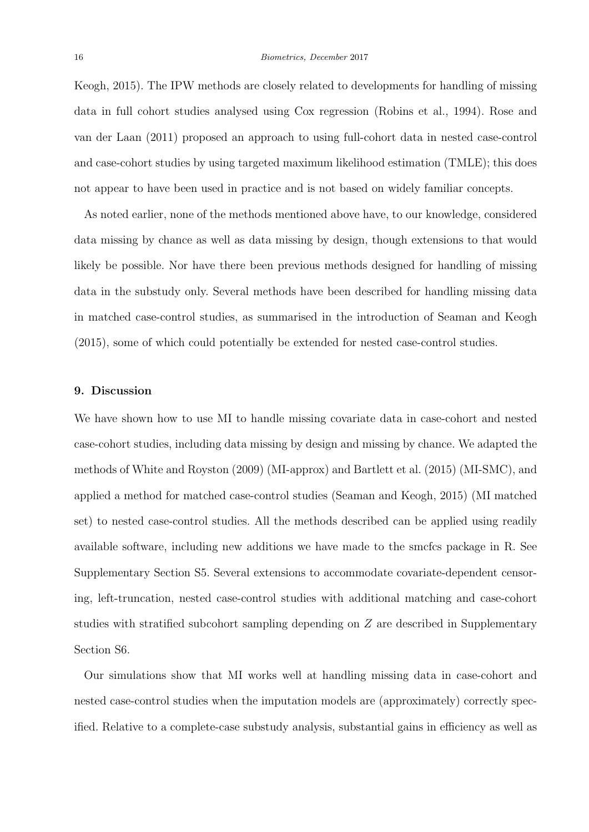Keogh, 2015). The IPW methods are closely related to developments for handling of missing data in full cohort studies analysed using Cox regression (Robins et al., 1994). Rose and van der Laan (2011) proposed an approach to using full-cohort data in nested case-control and case-cohort studies by using targeted maximum likelihood estimation (TMLE); this does not appear to have been used in practice and is not based on widely familiar concepts.

As noted earlier, none of the methods mentioned above have, to our knowledge, considered data missing by chance as well as data missing by design, though extensions to that would likely be possible. Nor have there been previous methods designed for handling of missing data in the substudy only. Several methods have been described for handling missing data in matched case-control studies, as summarised in the introduction of Seaman and Keogh (2015), some of which could potentially be extended for nested case-control studies.

## 9. Discussion

We have shown how to use MI to handle missing covariate data in case-cohort and nested case-cohort studies, including data missing by design and missing by chance. We adapted the methods of White and Royston (2009) (MI-approx) and Bartlett et al. (2015) (MI-SMC), and applied a method for matched case-control studies (Seaman and Keogh, 2015) (MI matched set) to nested case-control studies. All the methods described can be applied using readily available software, including new additions we have made to the smcfcs package in R. See Supplementary Section S5. Several extensions to accommodate covariate-dependent censoring, left-truncation, nested case-control studies with additional matching and case-cohort studies with stratified subcohort sampling depending on Z are described in Supplementary Section S6.

Our simulations show that MI works well at handling missing data in case-cohort and nested case-control studies when the imputation models are (approximately) correctly specified. Relative to a complete-case substudy analysis, substantial gains in efficiency as well as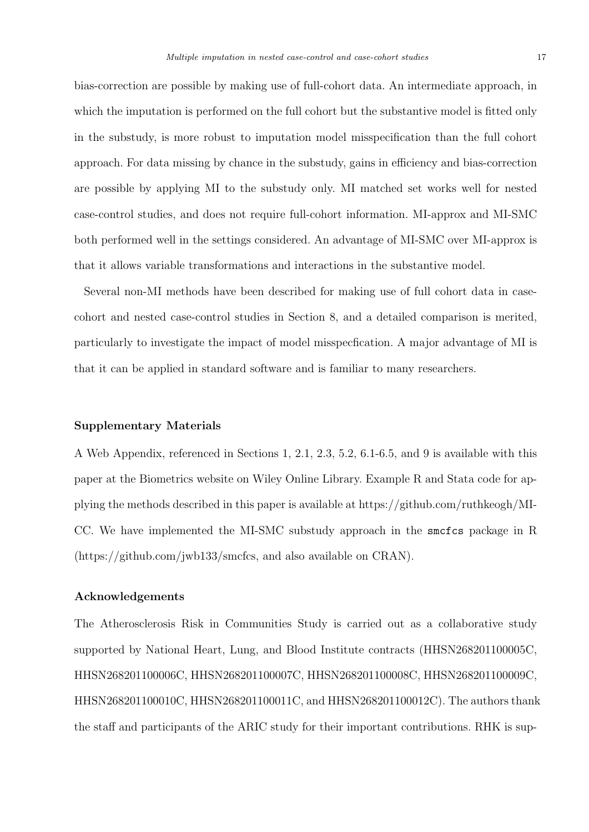bias-correction are possible by making use of full-cohort data. An intermediate approach, in which the imputation is performed on the full cohort but the substantive model is fitted only in the substudy, is more robust to imputation model misspecification than the full cohort approach. For data missing by chance in the substudy, gains in efficiency and bias-correction are possible by applying MI to the substudy only. MI matched set works well for nested case-control studies, and does not require full-cohort information. MI-approx and MI-SMC both performed well in the settings considered. An advantage of MI-SMC over MI-approx is that it allows variable transformations and interactions in the substantive model.

Several non-MI methods have been described for making use of full cohort data in casecohort and nested case-control studies in Section 8, and a detailed comparison is merited, particularly to investigate the impact of model misspecfication. A major advantage of MI is that it can be applied in standard software and is familiar to many researchers.

## Supplementary Materials

A Web Appendix, referenced in Sections 1, 2.1, 2.3, 5.2, 6.1-6.5, and 9 is available with this paper at the Biometrics website on Wiley Online Library. Example R and Stata code for applying the methods described in this paper is available at https://github.com/ruthkeogh/MI-CC. We have implemented the MI-SMC substudy approach in the smcfcs package in R (https://github.com/jwb133/smcfcs, and also available on CRAN).

## Acknowledgements

The Atherosclerosis Risk in Communities Study is carried out as a collaborative study supported by National Heart, Lung, and Blood Institute contracts (HHSN268201100005C, HHSN268201100006C, HHSN268201100007C, HHSN268201100008C, HHSN268201100009C, HHSN268201100010C, HHSN268201100011C, and HHSN268201100012C). The authors thank the staff and participants of the ARIC study for their important contributions. RHK is sup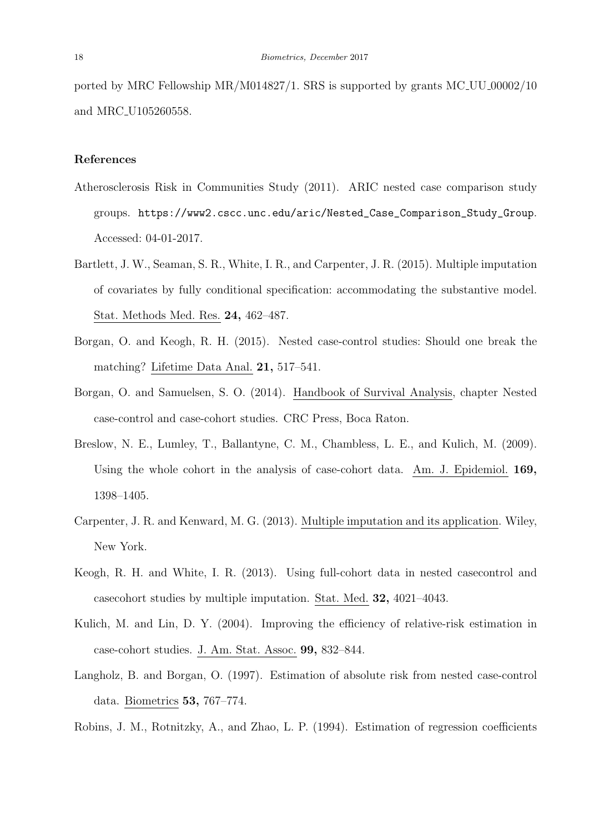ported by MRC Fellowship MR/M014827/1. SRS is supported by grants MC UU 00002/10 and MRC\_U105260558.

# References

- Atherosclerosis Risk in Communities Study (2011). ARIC nested case comparison study groups. https://www2.cscc.unc.edu/aric/Nested\_Case\_Comparison\_Study\_Group. Accessed: 04-01-2017.
- Bartlett, J. W., Seaman, S. R., White, I. R., and Carpenter, J. R. (2015). Multiple imputation of covariates by fully conditional specification: accommodating the substantive model. Stat. Methods Med. Res. 24, 462–487.
- Borgan, O. and Keogh, R. H. (2015). Nested case-control studies: Should one break the matching? Lifetime Data Anal. 21, 517–541.
- Borgan, O. and Samuelsen, S. O. (2014). Handbook of Survival Analysis, chapter Nested case-control and case-cohort studies. CRC Press, Boca Raton.
- Breslow, N. E., Lumley, T., Ballantyne, C. M., Chambless, L. E., and Kulich, M. (2009). Using the whole cohort in the analysis of case-cohort data. Am. J. Epidemiol. 169, 1398–1405.
- Carpenter, J. R. and Kenward, M. G. (2013). Multiple imputation and its application. Wiley, New York.
- Keogh, R. H. and White, I. R. (2013). Using full-cohort data in nested casecontrol and casecohort studies by multiple imputation. Stat. Med. 32, 4021–4043.
- Kulich, M. and Lin, D. Y. (2004). Improving the efficiency of relative-risk estimation in case-cohort studies. J. Am. Stat. Assoc. 99, 832–844.
- Langholz, B. and Borgan, O. (1997). Estimation of absolute risk from nested case-control data. Biometrics 53, 767–774.
- Robins, J. M., Rotnitzky, A., and Zhao, L. P. (1994). Estimation of regression coefficients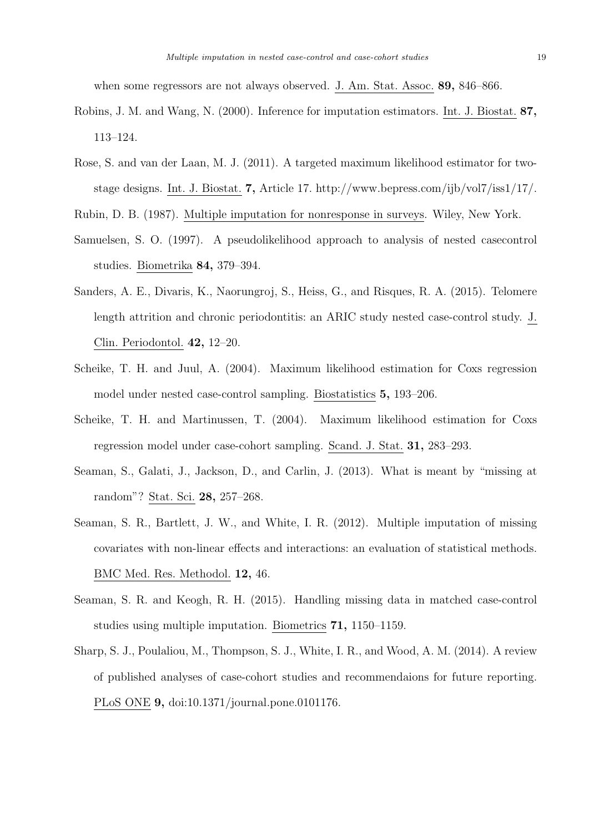when some regressors are not always observed. J. Am. Stat. Assoc. 89, 846–866.

- Robins, J. M. and Wang, N. (2000). Inference for imputation estimators. Int. J. Biostat. 87, 113–124.
- Rose, S. and van der Laan, M. J. (2011). A targeted maximum likelihood estimator for twostage designs. Int. J. Biostat. 7, Article 17. http://www.bepress.com/ijb/vol7/iss1/17/.

Rubin, D. B. (1987). Multiple imputation for nonresponse in surveys. Wiley, New York.

- Samuelsen, S. O. (1997). A pseudolikelihood approach to analysis of nested casecontrol studies. Biometrika 84, 379–394.
- Sanders, A. E., Divaris, K., Naorungroj, S., Heiss, G., and Risques, R. A. (2015). Telomere length attrition and chronic periodontitis: an ARIC study nested case-control study. J. Clin. Periodontol. 42, 12–20.
- Scheike, T. H. and Juul, A. (2004). Maximum likelihood estimation for Coxs regression model under nested case-control sampling. Biostatistics 5, 193–206.
- Scheike, T. H. and Martinussen, T. (2004). Maximum likelihood estimation for Coxs regression model under case-cohort sampling. Scand. J. Stat. 31, 283–293.
- Seaman, S., Galati, J., Jackson, D., and Carlin, J. (2013). What is meant by "missing at random"? Stat. Sci. 28, 257–268.
- Seaman, S. R., Bartlett, J. W., and White, I. R. (2012). Multiple imputation of missing covariates with non-linear effects and interactions: an evaluation of statistical methods. BMC Med. Res. Methodol. 12, 46.
- Seaman, S. R. and Keogh, R. H. (2015). Handling missing data in matched case-control studies using multiple imputation. Biometrics 71, 1150–1159.
- Sharp, S. J., Poulaliou, M., Thompson, S. J., White, I. R., and Wood, A. M. (2014). A review of published analyses of case-cohort studies and recommendaions for future reporting. PLoS ONE 9, doi:10.1371/journal.pone.0101176.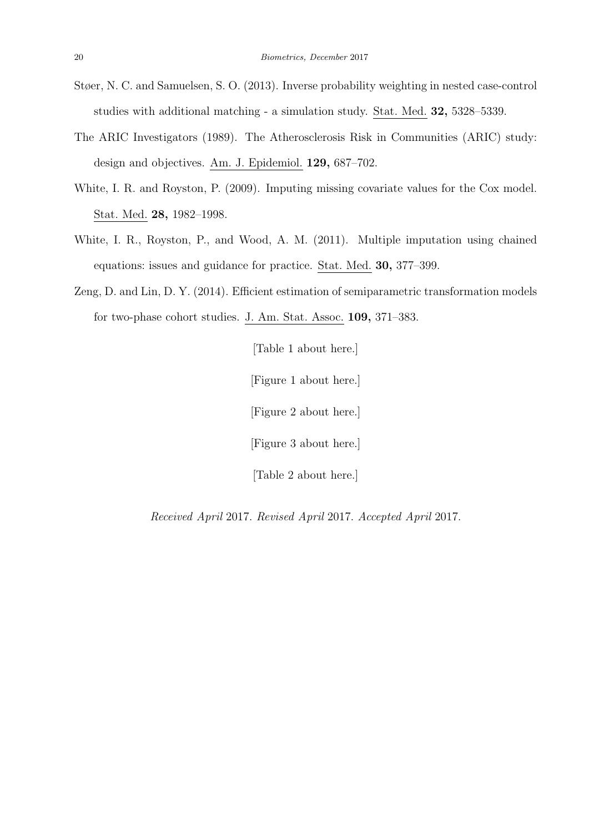- Støer, N. C. and Samuelsen, S. O. (2013). Inverse probability weighting in nested case-control studies with additional matching - a simulation study. Stat. Med. 32, 5328–5339.
- The ARIC Investigators (1989). The Atherosclerosis Risk in Communities (ARIC) study: design and objectives. Am. J. Epidemiol. 129, 687–702.
- White, I. R. and Royston, P. (2009). Imputing missing covariate values for the Cox model. Stat. Med. 28, 1982–1998.
- White, I. R., Royston, P., and Wood, A. M. (2011). Multiple imputation using chained equations: issues and guidance for practice. Stat. Med. 30, 377–399.
- Zeng, D. and Lin, D. Y. (2014). Efficient estimation of semiparametric transformation models for two-phase cohort studies. J. Am. Stat. Assoc. 109, 371–383.

[Table 1 about here.] [Figure 1 about here.] [Figure 2 about here.] [Figure 3 about here.] [Table 2 about here.]

Received April 2017. Revised April 2017. Accepted April 2017.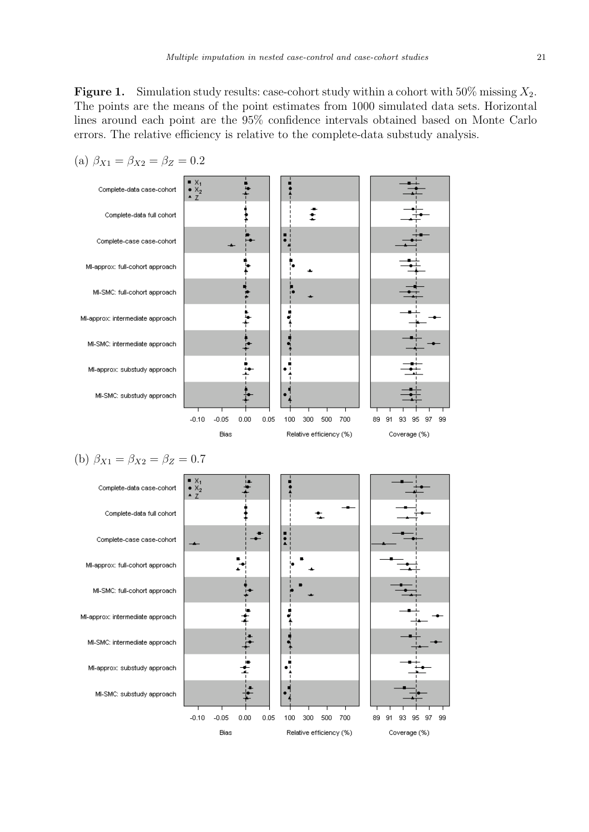**Figure 1.** Simulation study results: case-cohort study within a cohort with 50% missing  $X_2$ . The points are the means of the point estimates from 1000 simulated data sets. Horizontal lines around each point are the 95% confidence intervals obtained based on Monte Carlo errors. The relative efficiency is relative to the complete-data substudy analysis.

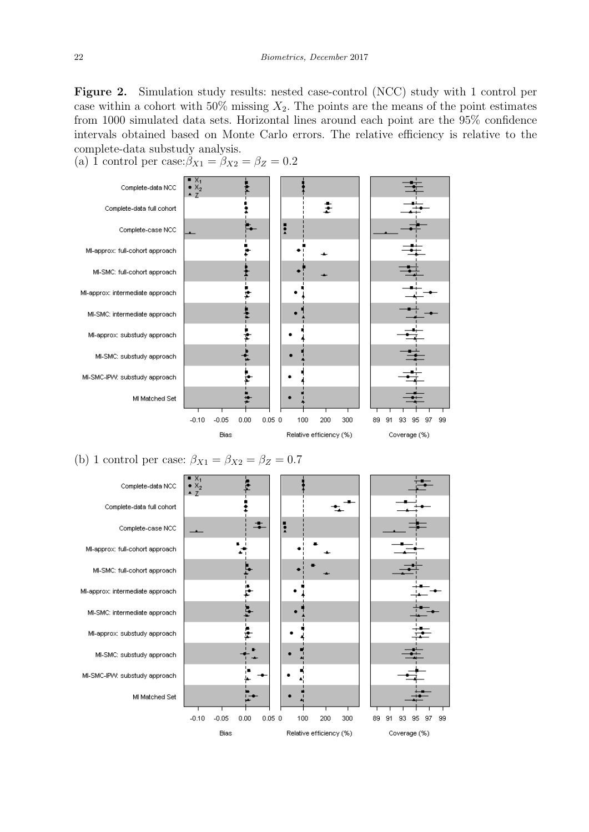Figure 2. Simulation study results: nested case-control (NCC) study with 1 control per case within a cohort with  $50\%$  missing  $X_2$ . The points are the means of the point estimates from 1000 simulated data sets. Horizontal lines around each point are the 95% confidence intervals obtained based on Monte Carlo errors. The relative efficiency is relative to the complete-data substudy analysis.



(b) 1 control per case: 
$$
\beta_{X1} = \beta_{X2} = \beta_Z = 0.7
$$

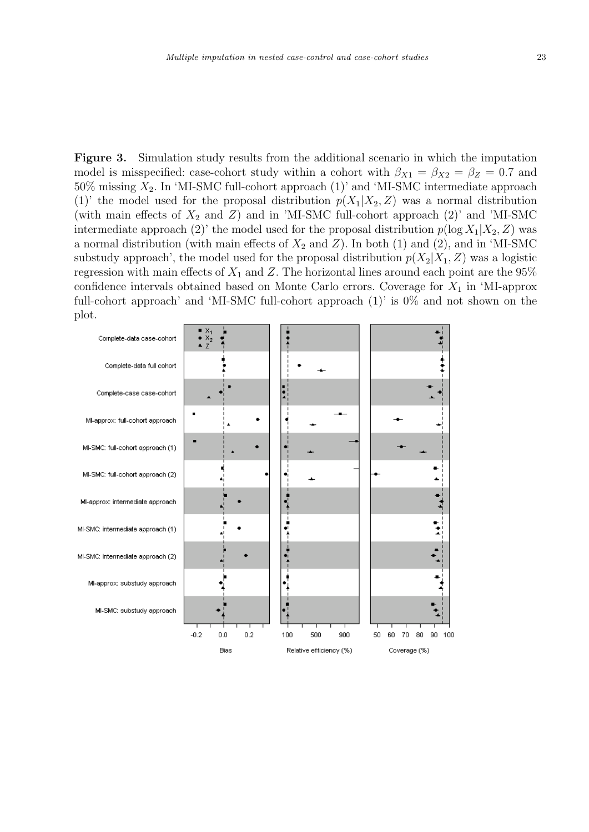Figure 3. Simulation study results from the additional scenario in which the imputation model is misspecified: case-cohort study within a cohort with  $\beta_{X1} = \beta_{X2} = \beta_Z = 0.7$  and  $50\%$  missing  $X_2$ . In 'MI-SMC full-cohort approach (1)' and 'MI-SMC intermediate approach (1)' the model used for the proposal distribution  $p(X_1|X_2, Z)$  was a normal distribution (with main effects of  $X_2$  and  $Z$ ) and in 'MI-SMC full-cohort approach (2)' and 'MI-SMC intermediate approach (2)' the model used for the proposal distribution  $p(\log X_1|X_2, Z)$  was a normal distribution (with main effects of  $X_2$  and  $Z$ ). In both (1) and (2), and in 'MI-SMC substudy approach', the model used for the proposal distribution  $p(X_2|X_1, Z)$  was a logistic regression with main effects of  $X_1$  and Z. The horizontal lines around each point are the 95% confidence intervals obtained based on Monte Carlo errors. Coverage for  $X_1$  in 'MI-approx full-cohort approach' and 'MI-SMC full-cohort approach (1)' is 0\% and not shown on the plot.

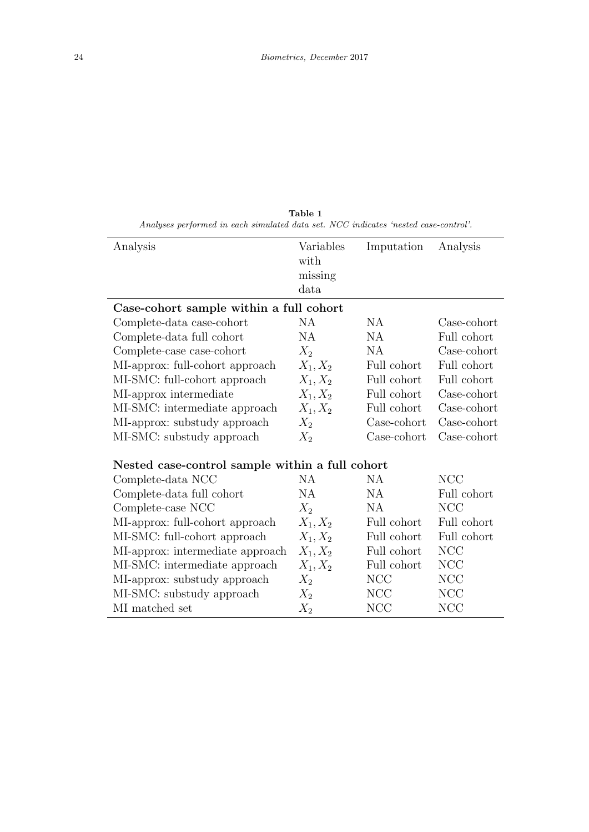Table 1 Analyses performed in each simulated data set. NCC indicates 'nested case-control'.

| Analysis                                        | Variables<br>with<br>missing<br>data | Imputation           | Analysis    |
|-------------------------------------------------|--------------------------------------|----------------------|-------------|
| Case-cohort sample within a full cohort         |                                      |                      |             |
| Complete-data case-cohort                       | NА                                   | <b>NA</b>            | Case-cohort |
| Complete-data full cohort                       | <b>NA</b>                            | <b>NA</b>            | Full cohort |
| Complete-case case-cohort                       | $X_2$                                | NA                   | Case-cohort |
| MI-approx: full-cohort approach                 | $X_1, X_2$                           | Full cohort          | Full cohort |
| MI-SMC: full-cohort approach                    | $X_1, X_2$                           | Full cohort          | Full cohort |
| MI-approx intermediate                          | $X_1, X_2$                           | Full cohort          | Case-cohort |
| MI-SMC: intermediate approach                   | $X_1, X_2$                           | Full cohort          | Case-cohort |
| MI-approx: substudy approach                    | $X_2$                                | Case-cohort          | Case-cohort |
| MI-SMC: substudy approach                       | $X_2$                                | $\text{Case-cohort}$ | Case-cohort |
| Nested case-control sample within a full cohort |                                      |                      |             |
| Complete-data NCC                               | NA                                   | NA                   | <b>NCC</b>  |
| Complete-data full cohort                       | NA                                   | <b>NA</b>            | Full cohort |
| Complete-case NCC                               | $X_2$                                | NA                   | <b>NCC</b>  |
| MI-approx: full-cohort approach                 | $X_1, X_2$                           | Full cohort          | Full cohort |
| MI-SMC: full-cohort approach                    | $X_1, X_2$                           | Full cohort          | Full cohort |
| MI-approx: intermediate approach                | $X_1, X_2$                           | Full cohort          | <b>NCC</b>  |
| MI-SMC: intermediate approach                   | $X_1, X_2$                           | Full cohort          | <b>NCC</b>  |
| MI-approx: substudy approach                    | $X_2$                                | <b>NCC</b>           | <b>NCC</b>  |
| MI-SMC: substudy approach                       | $X_2$                                | NCC                  | <b>NCC</b>  |
| MI matched set                                  | $X_2$                                | <b>NCC</b>           | <b>NCC</b>  |